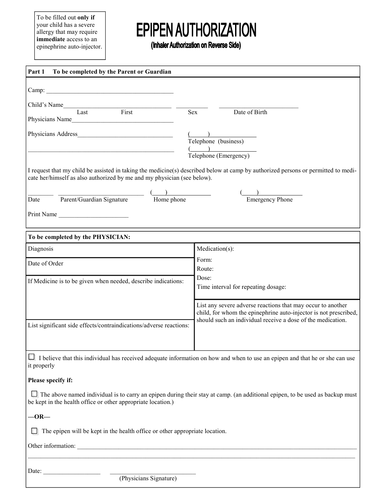To be filled out only if your child has a severe allergy that may require immediate access to an epinephrine auto-injector.

## **EPIPEN AUTHORIZATION**

(Inhaler Authorization on Reverse Side)

| Part 1<br>To be completed by the Parent or Guardian                                                                                                                                                          |                                                                                                                                 |  |  |
|--------------------------------------------------------------------------------------------------------------------------------------------------------------------------------------------------------------|---------------------------------------------------------------------------------------------------------------------------------|--|--|
|                                                                                                                                                                                                              |                                                                                                                                 |  |  |
|                                                                                                                                                                                                              |                                                                                                                                 |  |  |
| Child's Name<br>$\begin{tabular}{c} \hline \textbf{Last} \\ \hline \end{tabular}$<br>First<br>Sex                                                                                                            | Date of Birth                                                                                                                   |  |  |
| Physicians Name                                                                                                                                                                                              |                                                                                                                                 |  |  |
| Physicians Address <b>Executive Services</b>                                                                                                                                                                 |                                                                                                                                 |  |  |
|                                                                                                                                                                                                              | Telephone (business)                                                                                                            |  |  |
|                                                                                                                                                                                                              | $\frac{1}{\text{Telephone (Emergency)}}$                                                                                        |  |  |
| I request that my child be assisted in taking the medicine(s) described below at camp by authorized persons or permitted to medi-<br>cate her/himself as also authorized by me and my physician (see below). |                                                                                                                                 |  |  |
| Parent/Guardian Signature<br>$\overline{\phantom{a}}$ Home phone<br>Date                                                                                                                                     | Emergency Phone                                                                                                                 |  |  |
|                                                                                                                                                                                                              |                                                                                                                                 |  |  |
| Print Name                                                                                                                                                                                                   |                                                                                                                                 |  |  |
| To be completed by the PHYSICIAN:                                                                                                                                                                            |                                                                                                                                 |  |  |
| Diagnosis                                                                                                                                                                                                    | Medication(s):                                                                                                                  |  |  |
| Date of Order                                                                                                                                                                                                | Form:                                                                                                                           |  |  |
|                                                                                                                                                                                                              | Route:                                                                                                                          |  |  |
| If Medicine is to be given when needed, describe indications:                                                                                                                                                | Dose:<br>Time interval for repeating dosage:                                                                                    |  |  |
|                                                                                                                                                                                                              | List any severe adverse reactions that may occur to another                                                                     |  |  |
|                                                                                                                                                                                                              | child, for whom the epinephrine auto-injector is not prescribed,<br>should such an individual receive a dose of the medication. |  |  |
| List significant side effects/contraindications/adverse reactions:                                                                                                                                           |                                                                                                                                 |  |  |
|                                                                                                                                                                                                              |                                                                                                                                 |  |  |
| $\Box$ I believe that this individual has received adequate information on how and when to use an epipen and that he or she can use<br>it properly                                                           |                                                                                                                                 |  |  |
| Please specify if:                                                                                                                                                                                           |                                                                                                                                 |  |  |
| $\Box$ The above named individual is to carry an epipen during their stay at camp. (an additional epipen, to be used as backup must<br>be kept in the health office or other appropriate location.)          |                                                                                                                                 |  |  |
| $-OR-$                                                                                                                                                                                                       |                                                                                                                                 |  |  |
| $\Box$ The epipen will be kept in the health office or other appropriate location.                                                                                                                           |                                                                                                                                 |  |  |
| Other information:                                                                                                                                                                                           |                                                                                                                                 |  |  |
|                                                                                                                                                                                                              |                                                                                                                                 |  |  |
| Date: <u>(Physicians Signature)</u>                                                                                                                                                                          |                                                                                                                                 |  |  |
|                                                                                                                                                                                                              |                                                                                                                                 |  |  |